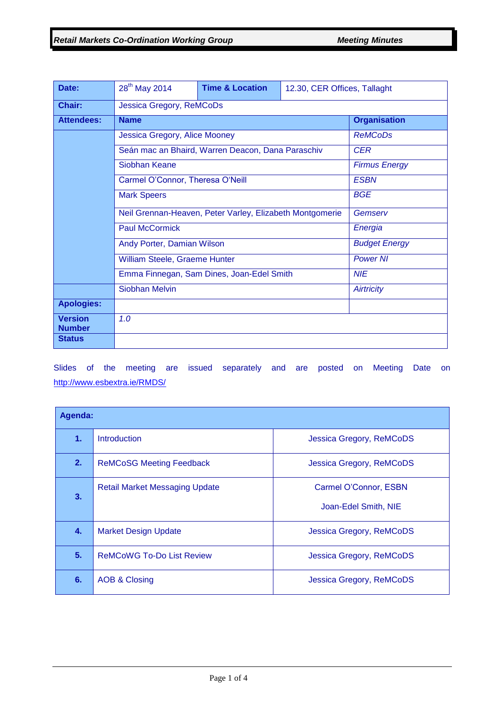| Date:                           | 28 <sup>th</sup> May 2014                                                                                                                  | <b>Time &amp; Location</b> | 12.30, CER Offices, Tallaght |                     |
|---------------------------------|--------------------------------------------------------------------------------------------------------------------------------------------|----------------------------|------------------------------|---------------------|
| Chair:                          | Jessica Gregory, ReMCoDs                                                                                                                   |                            |                              |                     |
| <b>Attendees:</b>               | <b>Name</b>                                                                                                                                |                            |                              | <b>Organisation</b> |
|                                 | Jessica Gregory, Alice Mooney                                                                                                              |                            |                              | <b>ReMCoDs</b>      |
|                                 | Seán mac an Bhaird, Warren Deacon, Dana Paraschiv                                                                                          | <b>CER</b>                 |                              |                     |
|                                 | Siobhan Keane                                                                                                                              | <b>Firmus Energy</b>       |                              |                     |
|                                 | Carmel O'Connor, Theresa O'Neill                                                                                                           |                            |                              | <b>ESBN</b>         |
|                                 | <b>Mark Speers</b>                                                                                                                         |                            |                              | <b>BGE</b>          |
|                                 | Neil Grennan-Heaven, Peter Varley, Elizabeth Montgomerie                                                                                   | Gemserv                    |                              |                     |
|                                 | <b>Paul McCormick</b><br>Energia<br>Andy Porter, Damian Wilson<br><b>Budget Energy</b><br>William Steele, Graeme Hunter<br><b>Power NI</b> |                            |                              |                     |
|                                 |                                                                                                                                            |                            |                              |                     |
|                                 |                                                                                                                                            |                            |                              |                     |
|                                 | <b>NIE</b><br>Emma Finnegan, Sam Dines, Joan-Edel Smith                                                                                    |                            |                              |                     |
|                                 | <b>Siobhan Melvin</b>                                                                                                                      |                            |                              | Airtricity          |
| <b>Apologies:</b>               |                                                                                                                                            |                            |                              |                     |
| <b>Version</b><br><b>Number</b> | 1.0                                                                                                                                        |                            |                              |                     |
| <b>Status</b>                   |                                                                                                                                            |                            |                              |                     |

Slides of the meeting are issued separately and are posted on Meeting Date on <http://www.esbextra.ie/RMDS/>

| Agenda: |                                       |                                               |  |  |
|---------|---------------------------------------|-----------------------------------------------|--|--|
| 1.      | <b>Introduction</b>                   | Jessica Gregory, ReMCoDS                      |  |  |
| 2.      | <b>ReMCoSG Meeting Feedback</b>       | <b>Jessica Gregory, ReMCoDS</b>               |  |  |
| 3.      | <b>Retail Market Messaging Update</b> | Carmel O'Connor, ESBN<br>Joan-Edel Smith, NIE |  |  |
| 4.      | <b>Market Design Update</b>           | Jessica Gregory, ReMCoDS                      |  |  |
| 5.      | <b>ReMCoWG To-Do List Review</b>      | Jessica Gregory, ReMCoDS                      |  |  |
| 6.      | <b>AOB &amp; Closing</b>              | Jessica Gregory, ReMCoDS                      |  |  |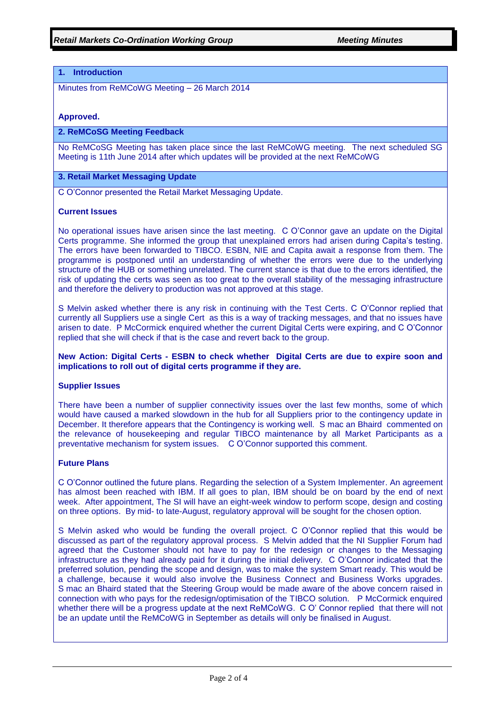# **1. Introduction**

Minutes from ReMCoWG Meeting – 26 March 2014

### **Approved.**

### **2. ReMCoSG Meeting Feedback**

No ReMCoSG Meeting has taken place since the last ReMCoWG meeting. The next scheduled SG Meeting is 11th June 2014 after which updates will be provided at the next ReMCoWG

### **3. Retail Market Messaging Update**

C O'Connor presented the Retail Market Messaging Update.

#### **Current Issues**

No operational issues have arisen since the last meeting. C O'Connor gave an update on the Digital Certs programme. She informed the group that unexplained errors had arisen during Capita's testing. The errors have been forwarded to TIBCO. ESBN, NIE and Capita await a response from them. The programme is postponed until an understanding of whether the errors were due to the underlying structure of the HUB or something unrelated. The current stance is that due to the errors identified, the risk of updating the certs was seen as too great to the overall stability of the messaging infrastructure and therefore the delivery to production was not approved at this stage.

S Melvin asked whether there is any risk in continuing with the Test Certs. C O'Connor replied that currently all Suppliers use a single Cert as this is a way of tracking messages, and that no issues have arisen to date. P McCormick enquired whether the current Digital Certs were expiring, and C O'Connor replied that she will check if that is the case and revert back to the group.

# **New Action: Digital Certs - ESBN to check whether Digital Certs are due to expire soon and implications to roll out of digital certs programme if they are.**

#### **Supplier Issues**

There have been a number of supplier connectivity issues over the last few months, some of which would have caused a marked slowdown in the hub for all Suppliers prior to the contingency update in December. It therefore appears that the Contingency is working well. S mac an Bhaird commented on the relevance of housekeeping and regular TIBCO maintenance by all Market Participants as a preventative mechanism for system issues. C O'Connor supported this comment.

#### **Future Plans**

C O'Connor outlined the future plans. Regarding the selection of a System Implementer. An agreement has almost been reached with IBM. If all goes to plan, IBM should be on board by the end of next week. After appointment, The SI will have an eight-week window to perform scope, design and costing on three options. By mid- to late-August, regulatory approval will be sought for the chosen option.

S Melvin asked who would be funding the overall project. C O'Connor replied that this would be discussed as part of the regulatory approval process. S Melvin added that the NI Supplier Forum had agreed that the Customer should not have to pay for the redesign or changes to the Messaging infrastructure as they had already paid for it during the initial delivery. C O'Connor indicated that the preferred solution, pending the scope and design, was to make the system Smart ready. This would be a challenge, because it would also involve the Business Connect and Business Works upgrades. S mac an Bhaird stated that the Steering Group would be made aware of the above concern raised in connection with who pays for the redesign/optimisation of the TIBCO solution. P McCormick enquired whether there will be a progress update at the next ReMCoWG. C O' Connor replied that there will not be an update until the ReMCoWG in September as details will only be finalised in August.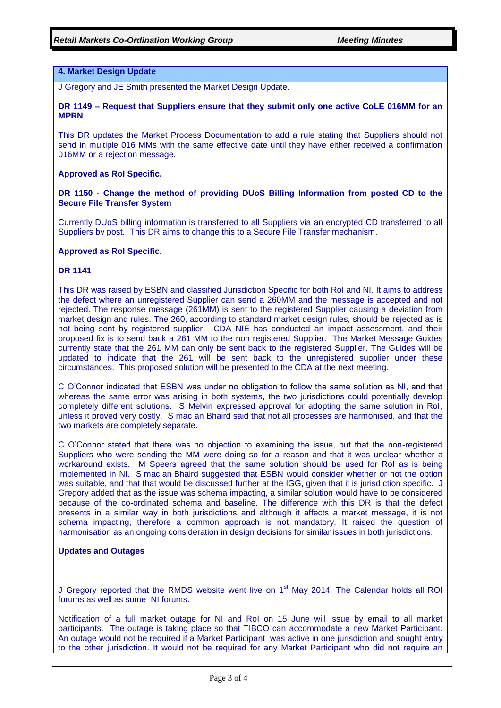# **4. Market Design Update**

J Gregory and JE Smith presented the Market Design Update.

#### **DR 1149 – Request that Suppliers ensure that they submit only one active CoLE 016MM for an MPRN**

This DR updates the Market Process Documentation to add a rule stating that Suppliers should not send in multiple 016 MMs with the same effective date until they have either received a confirmation 016MM or a rejection message.

#### **Approved as RoI Specific.**

# **DR 1150 - Change the method of providing DUoS Billing Information from posted CD to the Secure File Transfer System**

Currently DUoS billing information is transferred to all Suppliers via an encrypted CD transferred to all Suppliers by post. This DR aims to change this to a Secure File Transfer mechanism.

#### **Approved as RoI Specific.**

# **DR 1141**

This DR was raised by ESBN and classified Jurisdiction Specific for both RoI and NI. It aims to address the defect where an unregistered Supplier can send a 260MM and the message is accepted and not rejected. The response message (261MM) is sent to the registered Supplier causing a deviation from market design and rules. The 260, according to standard market design rules, should be rejected as is not being sent by registered supplier. CDA NIE has conducted an impact assessment, and their proposed fix is to send back a 261 MM to the non registered Supplier. The Market Message Guides currently state that the 261 MM can only be sent back to the registered Supplier. The Guides will be updated to indicate that the 261 will be sent back to the unregistered supplier under these circumstances. This proposed solution will be presented to the CDA at the next meeting.

C O'Connor indicated that ESBN was under no obligation to follow the same solution as NI, and that whereas the same error was arising in both systems, the two jurisdictions could potentially develop completely different solutions. S Melvin expressed approval for adopting the same solution in RoI, unless it proved very costly. S mac an Bhaird said that not all processes are harmonised, and that the two markets are completely separate.

C O'Connor stated that there was no objection to examining the issue, but that the non-registered Suppliers who were sending the MM were doing so for a reason and that it was unclear whether a workaround exists. M Speers agreed that the same solution should be used for RoI as is being implemented in NI. S mac an Bhaird suggested that ESBN would consider whether or not the option was suitable, and that that would be discussed further at the IGG, given that it is jurisdiction specific. J Gregory added that as the issue was schema impacting, a similar solution would have to be considered because of the co-ordinated schema and baseline. The difference with this DR is that the defect presents in a similar way in both jurisdictions and although it affects a market message, it is not schema impacting, therefore a common approach is not mandatory. It raised the question of harmonisation as an ongoing consideration in design decisions for similar issues in both jurisdictions.

## **Updates and Outages**

J Gregory reported that the RMDS website went live on  $1<sup>st</sup>$  May 2014. The Calendar holds all ROI forums as well as some NI forums.

Notification of a full market outage for NI and RoI on 15 June will issue by email to all market participants. The outage is taking place so that TIBCO can accommodate a new Market Participant. An outage would not be required if a Market Participant was active in one jurisdiction and sought entry to the other jurisdiction. It would not be required for any Market Participant who did not require an